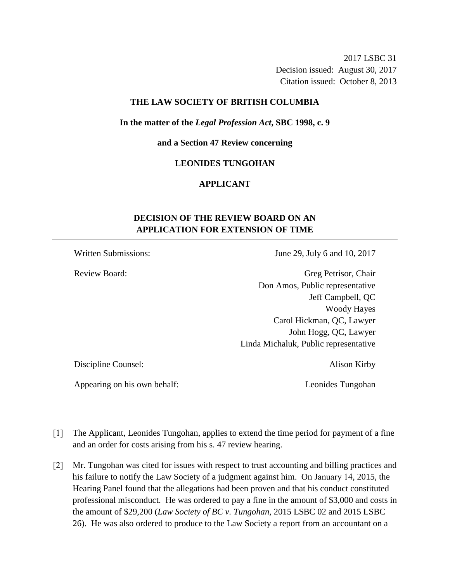2017 LSBC 31 Decision issued: August 30, 2017 Citation issued: October 8, 2013

### **THE LAW SOCIETY OF BRITISH COLUMBIA**

### **In the matter of the** *Legal Profession Act***, SBC 1998, c. 9**

**and a Section 47 Review concerning**

## **LEONIDES TUNGOHAN**

# **APPLICANT**

# **DECISION OF THE REVIEW BOARD ON AN APPLICATION FOR EXTENSION OF TIME**

Written Submissions: June 29, July 6 and 10, 2017

Review Board: Greg Petrisor, Chair Don Amos, Public representative Jeff Campbell, QC Woody Hayes Carol Hickman, QC, Lawyer John Hogg, QC, Lawyer Linda Michaluk, Public representative

Discipline Counsel: Alison Kirby

Appearing on his own behalf: Leonides Tungohan

- [1] The Applicant, Leonides Tungohan, applies to extend the time period for payment of a fine and an order for costs arising from his s. 47 review hearing.
- [2] Mr. Tungohan was cited for issues with respect to trust accounting and billing practices and his failure to notify the Law Society of a judgment against him. On January 14, 2015, the Hearing Panel found that the allegations had been proven and that his conduct constituted professional misconduct. He was ordered to pay a fine in the amount of \$3,000 and costs in the amount of \$29,200 (*Law Society of BC v. Tungohan*, 2015 LSBC 02 and 2015 LSBC 26). He was also ordered to produce to the Law Society a report from an accountant on a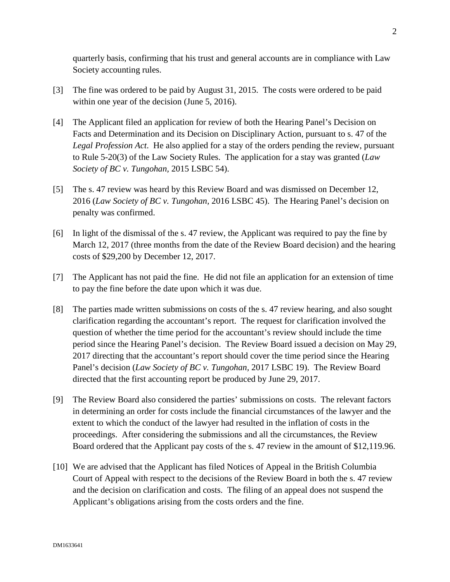quarterly basis, confirming that his trust and general accounts are in compliance with Law Society accounting rules.

- [3] The fine was ordered to be paid by August 31, 2015. The costs were ordered to be paid within one year of the decision (June 5, 2016).
- [4] The Applicant filed an application for review of both the Hearing Panel's Decision on Facts and Determination and its Decision on Disciplinary Action, pursuant to s. 47 of the *Legal Profession Act*. He also applied for a stay of the orders pending the review, pursuant to Rule 5-20(3) of the Law Society Rules. The application for a stay was granted (*Law Society of BC v. Tungohan,* 2015 LSBC 54).
- [5] The s. 47 review was heard by this Review Board and was dismissed on December 12, 2016 (*Law Society of BC v. Tungohan,* 2016 LSBC 45). The Hearing Panel's decision on penalty was confirmed.
- [6] In light of the dismissal of the s. 47 review, the Applicant was required to pay the fine by March 12, 2017 (three months from the date of the Review Board decision) and the hearing costs of \$29,200 by December 12, 2017.
- [7] The Applicant has not paid the fine. He did not file an application for an extension of time to pay the fine before the date upon which it was due.
- [8] The parties made written submissions on costs of the s. 47 review hearing, and also sought clarification regarding the accountant's report. The request for clarification involved the question of whether the time period for the accountant's review should include the time period since the Hearing Panel's decision. The Review Board issued a decision on May 29, 2017 directing that the accountant's report should cover the time period since the Hearing Panel's decision (*Law Society of BC v. Tungohan,* 2017 LSBC 19). The Review Board directed that the first accounting report be produced by June 29, 2017.
- [9] The Review Board also considered the parties' submissions on costs. The relevant factors in determining an order for costs include the financial circumstances of the lawyer and the extent to which the conduct of the lawyer had resulted in the inflation of costs in the proceedings. After considering the submissions and all the circumstances, the Review Board ordered that the Applicant pay costs of the s. 47 review in the amount of \$12,119.96.
- [10] We are advised that the Applicant has filed Notices of Appeal in the British Columbia Court of Appeal with respect to the decisions of the Review Board in both the s. 47 review and the decision on clarification and costs. The filing of an appeal does not suspend the Applicant's obligations arising from the costs orders and the fine.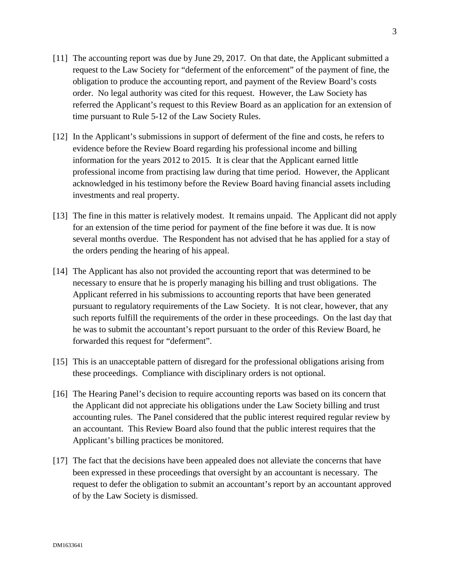- [11] The accounting report was due by June 29, 2017. On that date, the Applicant submitted a request to the Law Society for "deferment of the enforcement" of the payment of fine, the obligation to produce the accounting report, and payment of the Review Board's costs order. No legal authority was cited for this request. However, the Law Society has referred the Applicant's request to this Review Board as an application for an extension of time pursuant to Rule 5-12 of the Law Society Rules.
- [12] In the Applicant's submissions in support of deferment of the fine and costs, he refers to evidence before the Review Board regarding his professional income and billing information for the years 2012 to 2015. It is clear that the Applicant earned little professional income from practising law during that time period. However, the Applicant acknowledged in his testimony before the Review Board having financial assets including investments and real property.
- [13] The fine in this matter is relatively modest. It remains unpaid. The Applicant did not apply for an extension of the time period for payment of the fine before it was due. It is now several months overdue. The Respondent has not advised that he has applied for a stay of the orders pending the hearing of his appeal.
- [14] The Applicant has also not provided the accounting report that was determined to be necessary to ensure that he is properly managing his billing and trust obligations. The Applicant referred in his submissions to accounting reports that have been generated pursuant to regulatory requirements of the Law Society. It is not clear, however, that any such reports fulfill the requirements of the order in these proceedings. On the last day that he was to submit the accountant's report pursuant to the order of this Review Board, he forwarded this request for "deferment".
- [15] This is an unacceptable pattern of disregard for the professional obligations arising from these proceedings. Compliance with disciplinary orders is not optional.
- [16] The Hearing Panel's decision to require accounting reports was based on its concern that the Applicant did not appreciate his obligations under the Law Society billing and trust accounting rules. The Panel considered that the public interest required regular review by an accountant. This Review Board also found that the public interest requires that the Applicant's billing practices be monitored.
- [17] The fact that the decisions have been appealed does not alleviate the concerns that have been expressed in these proceedings that oversight by an accountant is necessary. The request to defer the obligation to submit an accountant's report by an accountant approved of by the Law Society is dismissed.